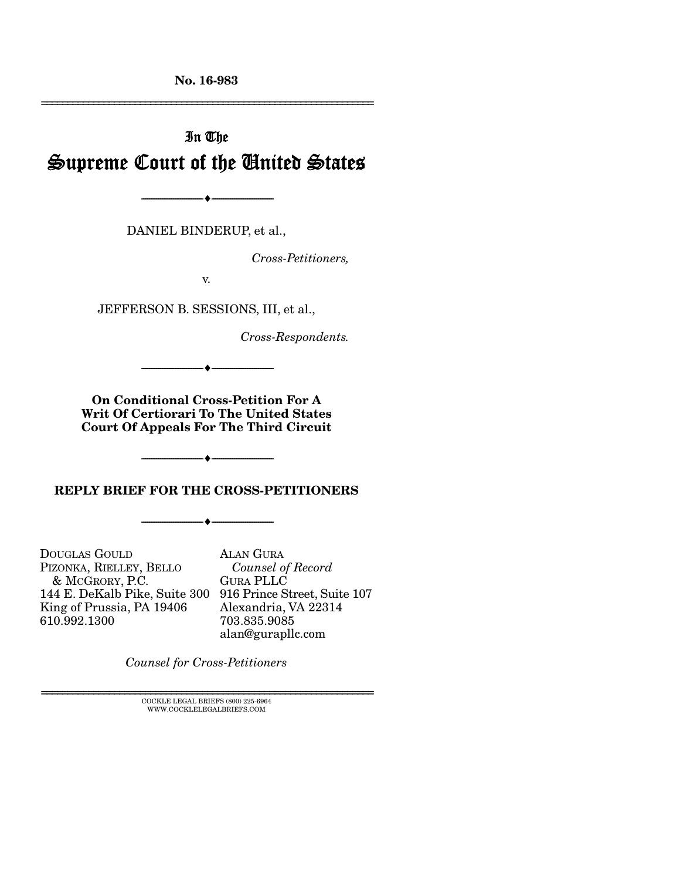No. 16-983

================================================================

# In The Supreme Court of the United States

DANIEL BINDERUP, et al.,

--------------------------------- i ---------------------------------

*Cross-Petitioners,* 

v.

JEFFERSON B. SESSIONS, III, et al.,

*Cross-Respondents.* 

On Conditional Cross-Petition For A Writ Of Certiorari To The United States Court Of Appeals For The Third Circuit

--------------------------------- i ---------------------------------

REPLY BRIEF FOR THE CROSS-PETITIONERS

--------------------------------- i ---------------------------------

 $-\hspace{-.07cm}\bullet\hspace{-.07cm}-$ 

DOUGLAS GOULD PIZONKA, RIELLEY, BELLO & MCGRORY, P.C. 144 E. DeKalb Pike, Suite 300 916 Prince Street, Suite 107 King of Prussia, PA 19406 610.992.1300

ALAN GURA  *Counsel of Record* GURA PLLC Alexandria, VA 22314 703.835.9085 alan@gurapllc.com

*Counsel for Cross-Petitioners*

 $\textsc{COCKLE}$  LEGAL BRIEFS (800) 225-6964 WWW.COCKLELEGALBRIEFS.COM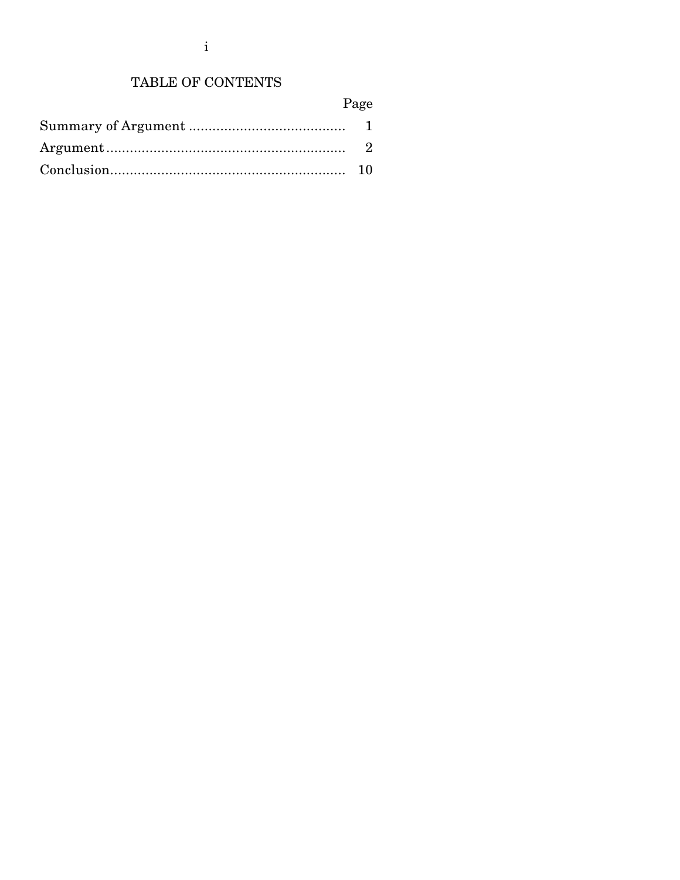## TABLE OF CONTENTS

| о<br>ч |
|--------|
|--------|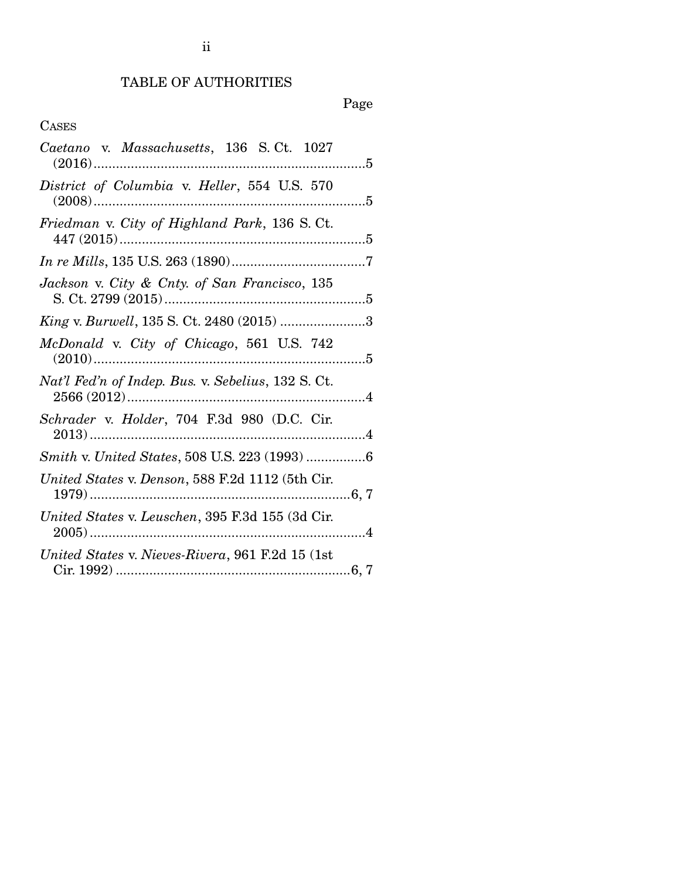## TABLE OF AUTHORITIES

## Page

## CASES

| Caetano v. Massachusetts, 136 S.Ct. 1027           |  |
|----------------------------------------------------|--|
| District of Columbia v. Heller, 554 U.S. 570       |  |
| Friedman v. City of Highland Park, 136 S. Ct.      |  |
|                                                    |  |
| Jackson v. City & Cnty. of San Francisco, 135      |  |
| King v. Burwell, 135 S. Ct. 2480 (2015) 3          |  |
| McDonald v. City of Chicago, 561 U.S. 742          |  |
| Nat'l Fed'n of Indep. Bus. v. Sebelius, 132 S. Ct. |  |
| Schrader v. Holder, 704 F.3d 980 (D.C. Cir.        |  |
|                                                    |  |
| United States v. Denson, 588 F.2d 1112 (5th Cir.   |  |
| United States v. Leuschen, 395 F.3d 155 (3d Cir.   |  |
| United States v. Nieves-Rivera, 961 F.2d 15 (1st   |  |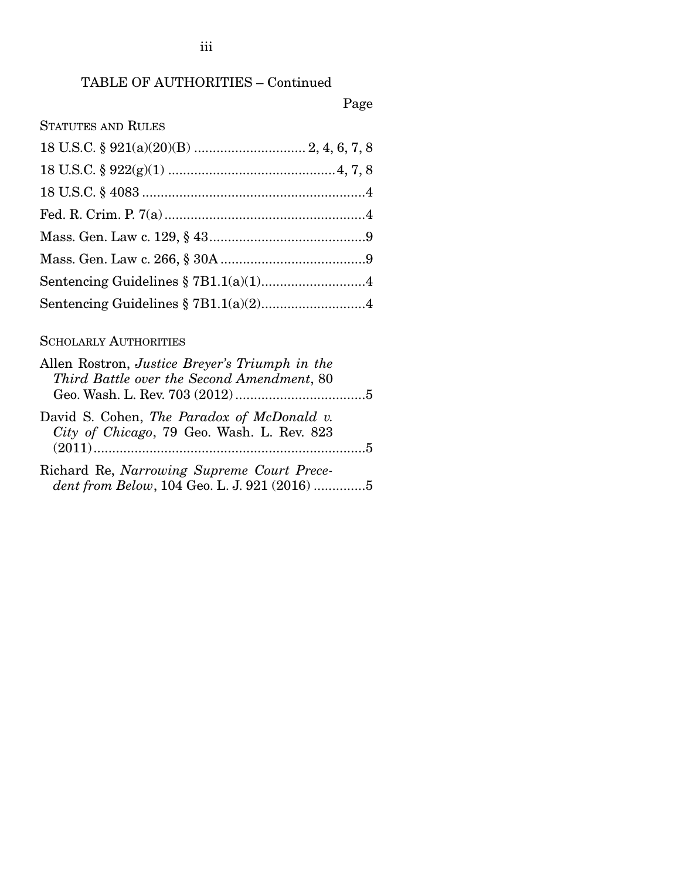### TABLE OF AUTHORITIES – Continued

Page

| <b>STATUTES AND RULES</b> |  |
|---------------------------|--|
|                           |  |
|                           |  |
|                           |  |
|                           |  |
|                           |  |
|                           |  |
|                           |  |
|                           |  |

#### SCHOLARLY AUTHORITIES

| Allen Rostron, <i>Justice Breyer's Triumph in the</i> |  |
|-------------------------------------------------------|--|
| Third Battle over the Second Amendment, 80            |  |
|                                                       |  |
| David S. Cohen, The Paradox of McDonald v.            |  |
| City of Chicago, 79 Geo. Wash. L. Rev. 823            |  |
|                                                       |  |
| Richard Re, Narrowing Supreme Court Prece-            |  |

*dent from Below*, 104 Geo. L. J. 921 (2016) .............. 5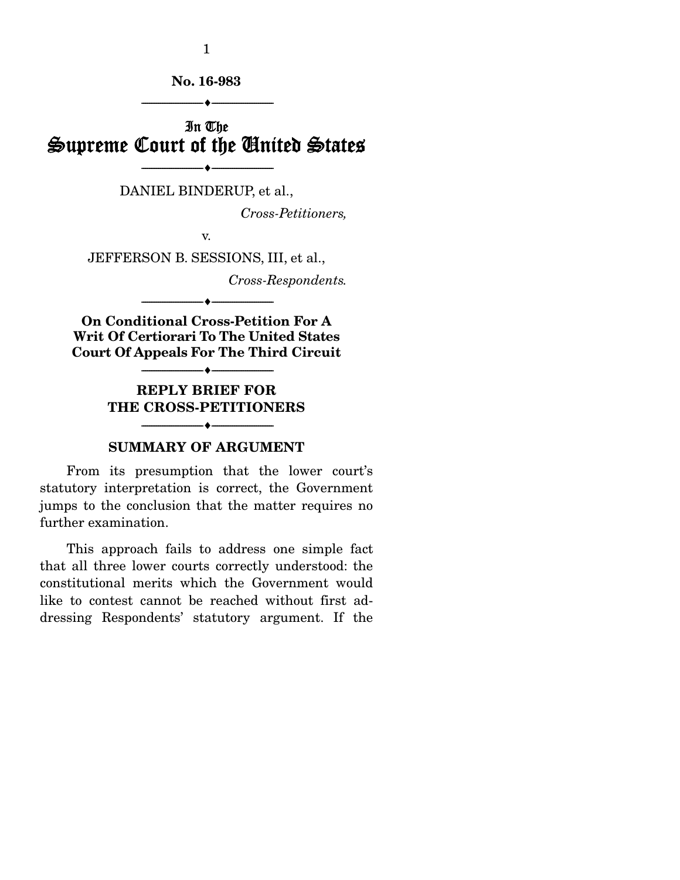1

No. 16-983

 $-1.41$   $-1.41$   $-1.41$   $-1.41$   $-1.41$   $-1.41$   $-1.41$   $-1.41$   $-1.41$   $-1.41$   $-1.41$   $-1.41$   $-1.41$   $-1.41$   $-1.41$   $-1.41$   $-1.41$   $-1.41$   $-1.41$   $-1.41$   $-1.41$   $-1.41$   $-1.41$   $-1.41$   $-1.41$   $-1.41$   $-1.41$   $-1.4$ 

## In The Supreme Court of the United States

--------------------------------- i ---------------------------------

DANIEL BINDERUP, et al.,

*Cross-Petitioners,* 

v.

JEFFERSON B. SESSIONS, III, et al.,

*Cross-Respondents.* 

On Conditional Cross-Petition For A Writ Of Certiorari To The United States Court Of Appeals For The Third Circuit

--------------------------------- i ---------------------------------

--------------------------------- i ---------------------------------

REPLY BRIEF FOR THE CROSS-PETITIONERS

--------------------------------- i ---------------------------------

#### SUMMARY OF ARGUMENT

 From its presumption that the lower court's statutory interpretation is correct, the Government jumps to the conclusion that the matter requires no further examination.

 This approach fails to address one simple fact that all three lower courts correctly understood: the constitutional merits which the Government would like to contest cannot be reached without first addressing Respondents' statutory argument. If the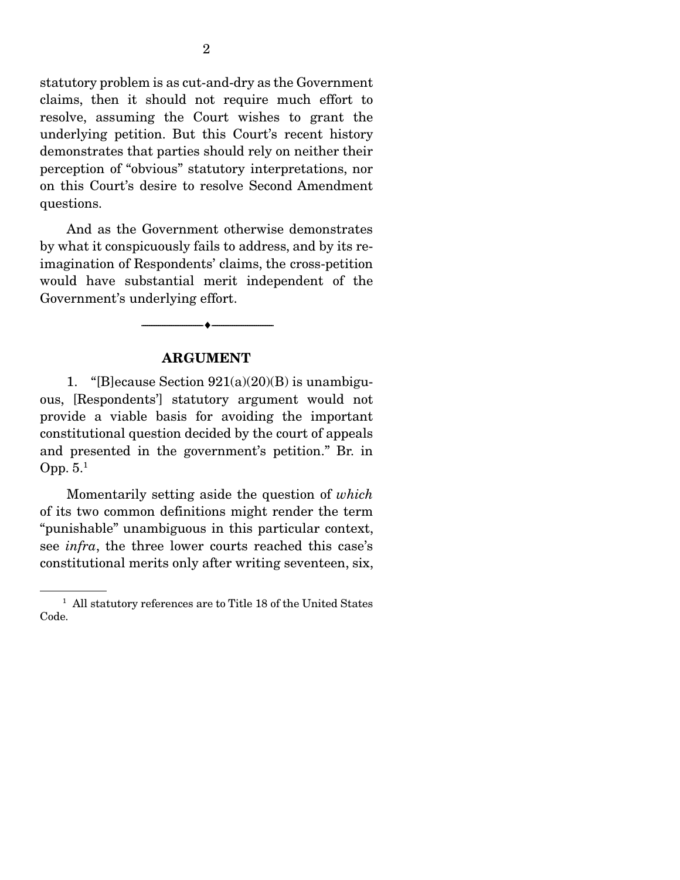statutory problem is as cut-and-dry as the Government claims, then it should not require much effort to resolve, assuming the Court wishes to grant the underlying petition. But this Court's recent history demonstrates that parties should rely on neither their perception of "obvious" statutory interpretations, nor on this Court's desire to resolve Second Amendment questions.

 And as the Government otherwise demonstrates by what it conspicuously fails to address, and by its reimagination of Respondents' claims, the cross-petition would have substantial merit independent of the Government's underlying effort.

#### ARGUMENT

--------------------------------- i ---------------------------------

1. "[B]ecause Section  $921(a)(20)(B)$  is unambiguous, [Respondents'] statutory argument would not provide a viable basis for avoiding the important constitutional question decided by the court of appeals and presented in the government's petition." Br. in Opp. 5.1

 Momentarily setting aside the question of *which* of its two common definitions might render the term "punishable" unambiguous in this particular context, see *infra*, the three lower courts reached this case's constitutional merits only after writing seventeen, six,

<sup>&</sup>lt;sup>1</sup> All statutory references are to Title 18 of the United States Code.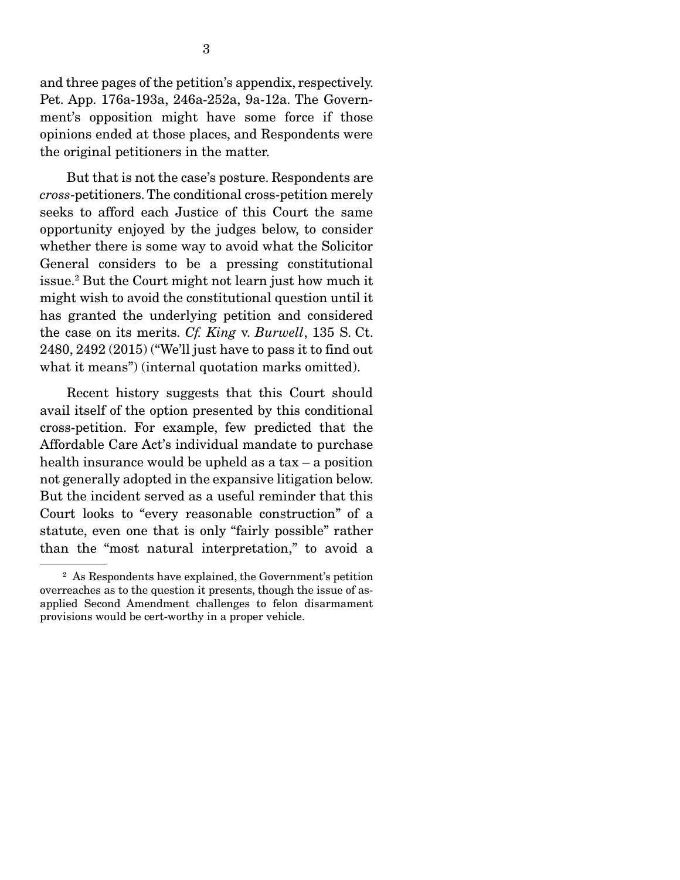and three pages of the petition's appendix, respectively. Pet. App. 176a-193a, 246a-252a, 9a-12a. The Government's opposition might have some force if those opinions ended at those places, and Respondents were the original petitioners in the matter.

 But that is not the case's posture. Respondents are *cross*-petitioners. The conditional cross-petition merely seeks to afford each Justice of this Court the same opportunity enjoyed by the judges below, to consider whether there is some way to avoid what the Solicitor General considers to be a pressing constitutional issue.2 But the Court might not learn just how much it might wish to avoid the constitutional question until it has granted the underlying petition and considered the case on its merits. *Cf. King* v. *Burwell*, 135 S. Ct. 2480, 2492 (2015) ("We'll just have to pass it to find out what it means") (internal quotation marks omitted).

 Recent history suggests that this Court should avail itself of the option presented by this conditional cross-petition. For example, few predicted that the Affordable Care Act's individual mandate to purchase health insurance would be upheld as a tax – a position not generally adopted in the expansive litigation below. But the incident served as a useful reminder that this Court looks to "every reasonable construction" of a statute, even one that is only "fairly possible" rather than the "most natural interpretation," to avoid a

<sup>2</sup> As Respondents have explained, the Government's petition overreaches as to the question it presents, though the issue of asapplied Second Amendment challenges to felon disarmament provisions would be cert-worthy in a proper vehicle.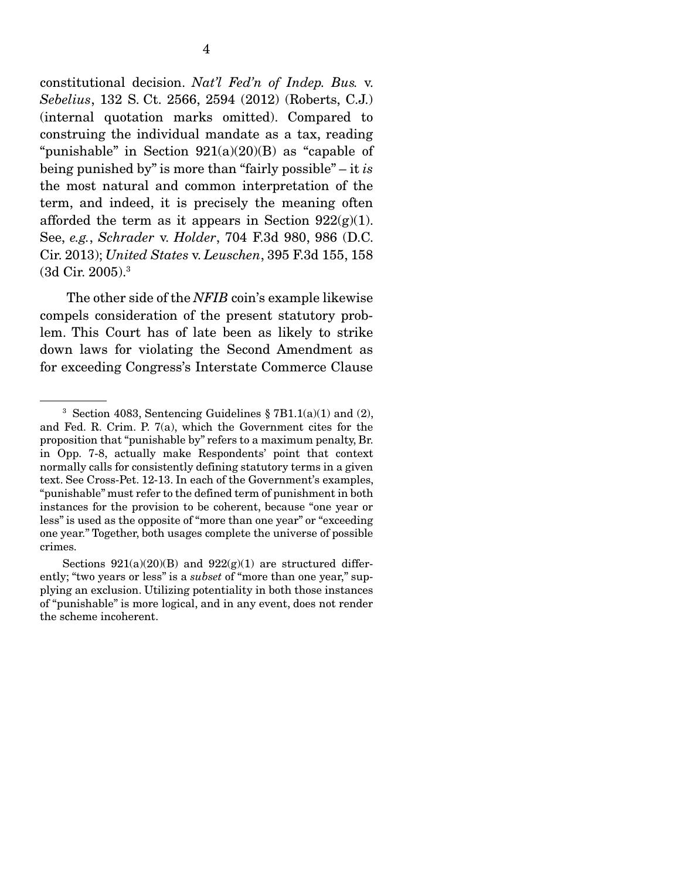constitutional decision. *Nat'l Fed'n of Indep. Bus.* v. *Sebelius*, 132 S. Ct. 2566, 2594 (2012) (Roberts, C.J.) (internal quotation marks omitted). Compared to construing the individual mandate as a tax, reading "punishable" in Section  $921(a)(20)(B)$  as "capable of being punished by" is more than "fairly possible" – it *is* the most natural and common interpretation of the term, and indeed, it is precisely the meaning often afforded the term as it appears in Section  $922(g)(1)$ . See, *e.g.*, *Schrader* v. *Holder*, 704 F.3d 980, 986 (D.C. Cir. 2013); *United States* v. *Leuschen*, 395 F.3d 155, 158 (3d Cir. 2005).3

 The other side of the *NFIB* coin's example likewise compels consideration of the present statutory problem. This Court has of late been as likely to strike down laws for violating the Second Amendment as for exceeding Congress's Interstate Commerce Clause

<sup>&</sup>lt;sup>3</sup> Section 4083, Sentencing Guidelines  $\S 7B1.1(a)(1)$  and (2), and Fed. R. Crim. P. 7(a), which the Government cites for the proposition that "punishable by" refers to a maximum penalty, Br. in Opp. 7-8, actually make Respondents' point that context normally calls for consistently defining statutory terms in a given text. See Cross-Pet. 12-13. In each of the Government's examples, "punishable" must refer to the defined term of punishment in both instances for the provision to be coherent, because "one year or less" is used as the opposite of "more than one year" or "exceeding one year." Together, both usages complete the universe of possible crimes.

Sections  $921(a)(20)(B)$  and  $922(g)(1)$  are structured differently; "two years or less" is a *subset* of "more than one year," supplying an exclusion. Utilizing potentiality in both those instances of "punishable" is more logical, and in any event, does not render the scheme incoherent.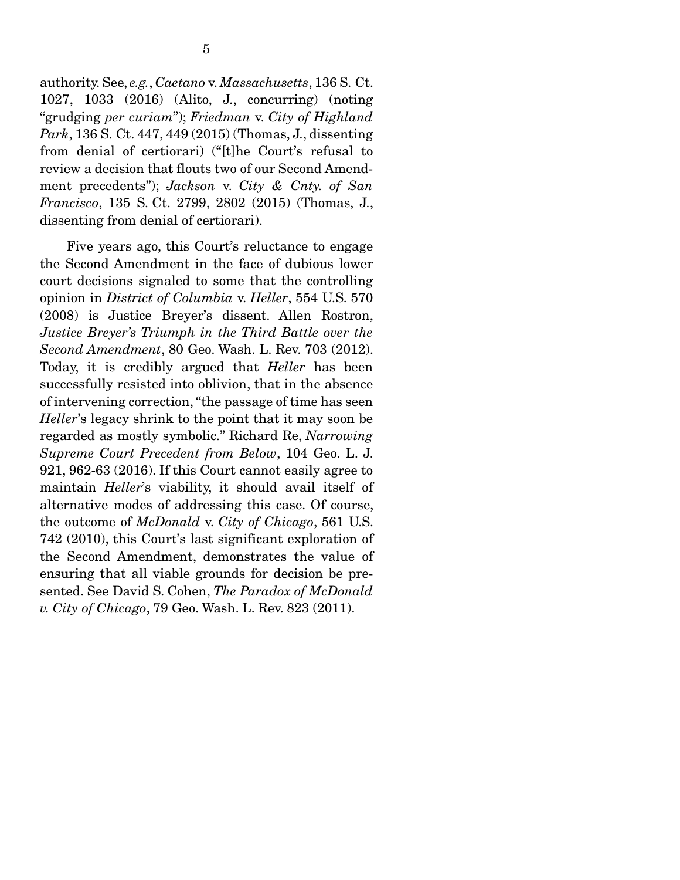authority. See, *e.g.*, *Caetano* v. *Massachusetts*, 136 S. Ct. 1027, 1033 (2016) (Alito, J., concurring) (noting "grudging *per curiam*"); *Friedman* v. *City of Highland Park*, 136 S. Ct. 447, 449 (2015) (Thomas, J., dissenting from denial of certiorari) ("[t]he Court's refusal to review a decision that flouts two of our Second Amendment precedents"); *Jackson* v. *City & Cnty. of San Francisco*, 135 S. Ct. 2799, 2802 (2015) (Thomas, J., dissenting from denial of certiorari).

 Five years ago, this Court's reluctance to engage the Second Amendment in the face of dubious lower court decisions signaled to some that the controlling opinion in *District of Columbia* v. *Heller*, 554 U.S. 570 (2008) is Justice Breyer's dissent. Allen Rostron, *Justice Breyer's Triumph in the Third Battle over the Second Amendment*, 80 Geo. Wash. L. Rev. 703 (2012). Today, it is credibly argued that *Heller* has been successfully resisted into oblivion, that in the absence of intervening correction, "the passage of time has seen *Heller*'s legacy shrink to the point that it may soon be regarded as mostly symbolic." Richard Re, *Narrowing Supreme Court Precedent from Below*, 104 Geo. L. J. 921, 962-63 (2016). If this Court cannot easily agree to maintain *Heller*'s viability, it should avail itself of alternative modes of addressing this case. Of course, the outcome of *McDonald* v. *City of Chicago*, 561 U.S. 742 (2010), this Court's last significant exploration of the Second Amendment, demonstrates the value of ensuring that all viable grounds for decision be presented. See David S. Cohen, *The Paradox of McDonald v. City of Chicago*, 79 Geo. Wash. L. Rev. 823 (2011).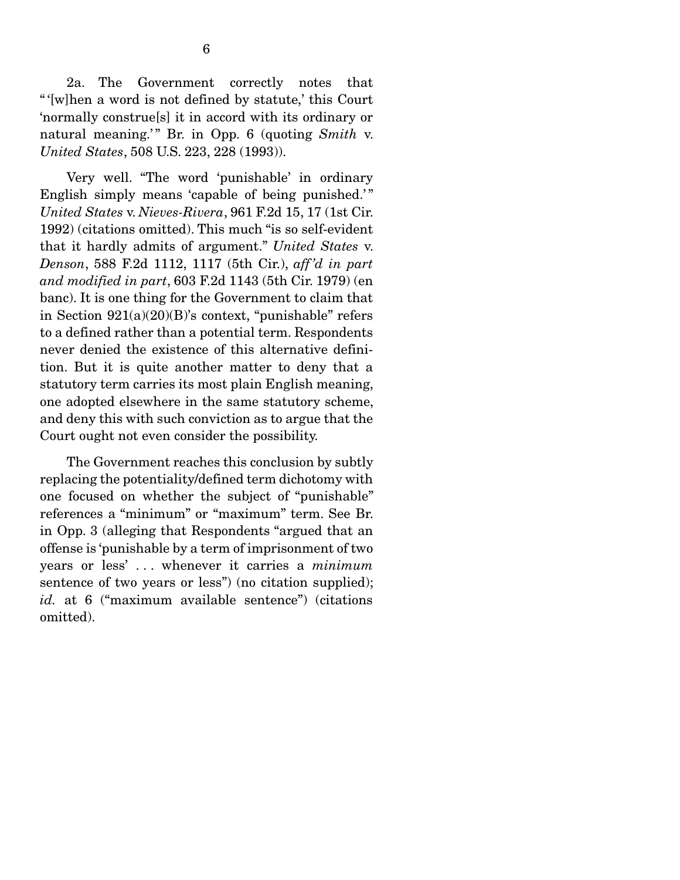2a. The Government correctly notes that " '[w]hen a word is not defined by statute,' this Court 'normally construe[s] it in accord with its ordinary or natural meaning.'" Br. in Opp. 6 (quoting *Smith v. United States*, 508 U.S. 223, 228 (1993)).

 Very well. "The word 'punishable' in ordinary English simply means 'capable of being punished.'" *United States* v. *Nieves-Rivera*, 961 F.2d 15, 17 (1st Cir. 1992) (citations omitted). This much "is so self-evident that it hardly admits of argument." *United States* v. *Denson*, 588 F.2d 1112, 1117 (5th Cir.), *aff 'd in part and modified in part*, 603 F.2d 1143 (5th Cir. 1979) (en banc). It is one thing for the Government to claim that in Section  $921(a)(20)(B)$ 's context, "punishable" refers to a defined rather than a potential term. Respondents never denied the existence of this alternative definition. But it is quite another matter to deny that a statutory term carries its most plain English meaning, one adopted elsewhere in the same statutory scheme, and deny this with such conviction as to argue that the Court ought not even consider the possibility.

 The Government reaches this conclusion by subtly replacing the potentiality/defined term dichotomy with one focused on whether the subject of "punishable" references a "minimum" or "maximum" term. See Br. in Opp. 3 (alleging that Respondents "argued that an offense is 'punishable by a term of imprisonment of two years or less' . . . whenever it carries a *minimum*  sentence of two years or less") (no citation supplied); id. at 6 ("maximum available sentence") (citations omitted).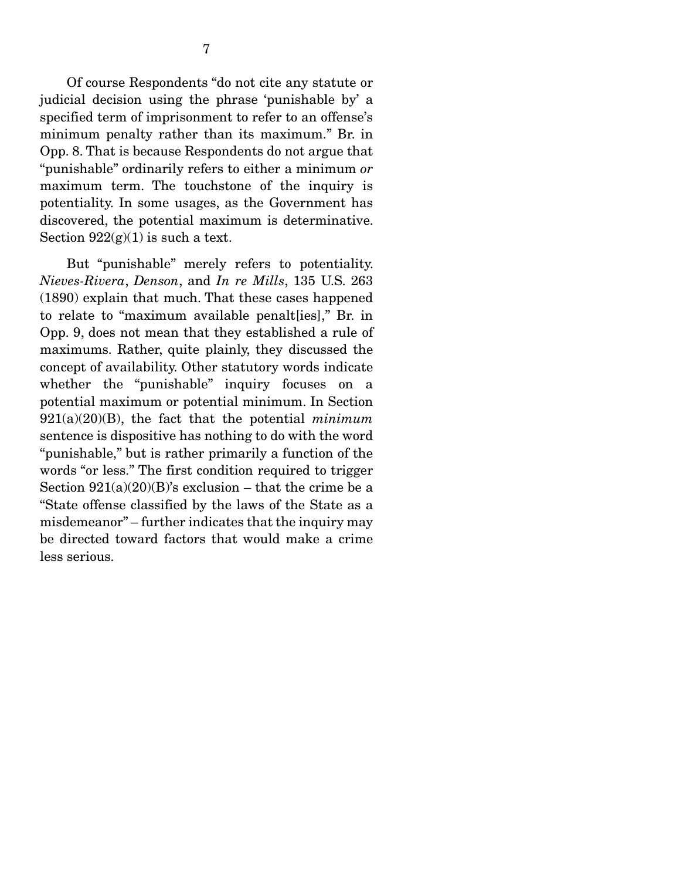Of course Respondents "do not cite any statute or judicial decision using the phrase 'punishable by' a specified term of imprisonment to refer to an offense's minimum penalty rather than its maximum." Br. in Opp. 8. That is because Respondents do not argue that "punishable" ordinarily refers to either a minimum *or* maximum term. The touchstone of the inquiry is potentiality. In some usages, as the Government has discovered, the potential maximum is determinative. Section  $922(g)(1)$  is such a text.

 But "punishable" merely refers to potentiality. *Nieves-Rivera*, *Denson*, and *In re Mills*, 135 U.S. 263 (1890) explain that much. That these cases happened to relate to "maximum available penalt[ies]," Br. in Opp. 9, does not mean that they established a rule of maximums. Rather, quite plainly, they discussed the concept of availability. Other statutory words indicate whether the "punishable" inquiry focuses on a potential maximum or potential minimum. In Section 921(a)(20)(B), the fact that the potential *minimum* sentence is dispositive has nothing to do with the word "punishable," but is rather primarily a function of the words "or less." The first condition required to trigger Section  $921(a)(20)(B)$ 's exclusion – that the crime be a "State offense classified by the laws of the State as a misdemeanor" – further indicates that the inquiry may be directed toward factors that would make a crime less serious.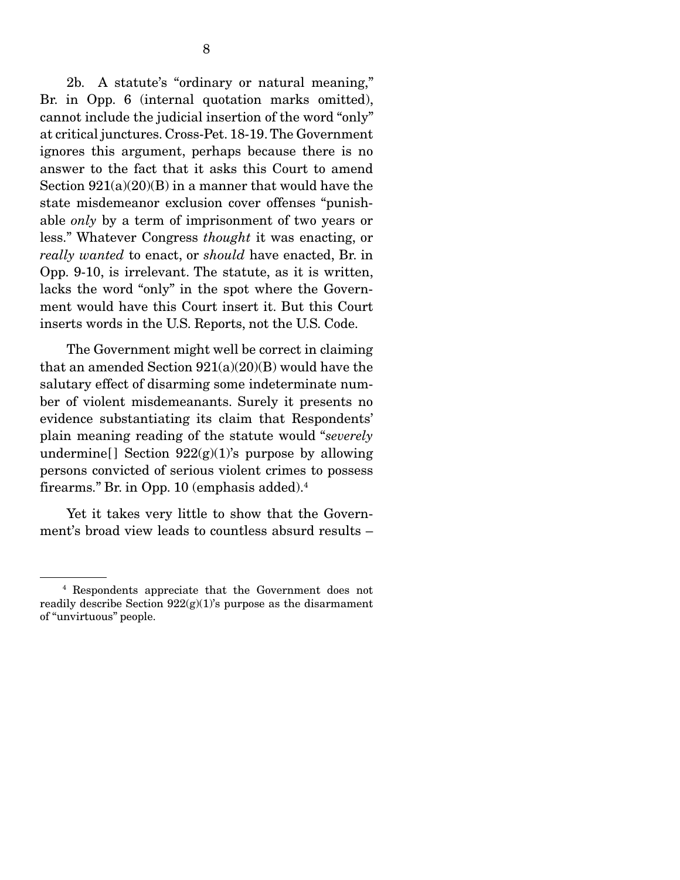2b. A statute's "ordinary or natural meaning," Br. in Opp. 6 (internal quotation marks omitted), cannot include the judicial insertion of the word "only" at critical junctures. Cross-Pet. 18-19. The Government ignores this argument, perhaps because there is no answer to the fact that it asks this Court to amend Section  $921(a)(20)(B)$  in a manner that would have the state misdemeanor exclusion cover offenses "punishable *only* by a term of imprisonment of two years or less." Whatever Congress *thought* it was enacting, or *really wanted* to enact, or *should* have enacted, Br. in Opp. 9-10, is irrelevant. The statute, as it is written, lacks the word "only" in the spot where the Government would have this Court insert it. But this Court inserts words in the U.S. Reports, not the U.S. Code.

 The Government might well be correct in claiming that an amended Section  $921(a)(20)(B)$  would have the salutary effect of disarming some indeterminate number of violent misdemeanants. Surely it presents no evidence substantiating its claim that Respondents' plain meaning reading of the statute would "*severely* undermine [] Section  $922(g)(1)$ 's purpose by allowing persons convicted of serious violent crimes to possess firearms." Br. in Opp. 10 (emphasis added).4

 Yet it takes very little to show that the Government's broad view leads to countless absurd results –

<sup>4</sup> Respondents appreciate that the Government does not readily describe Section 922(g)(1)'s purpose as the disarmament of "unvirtuous" people.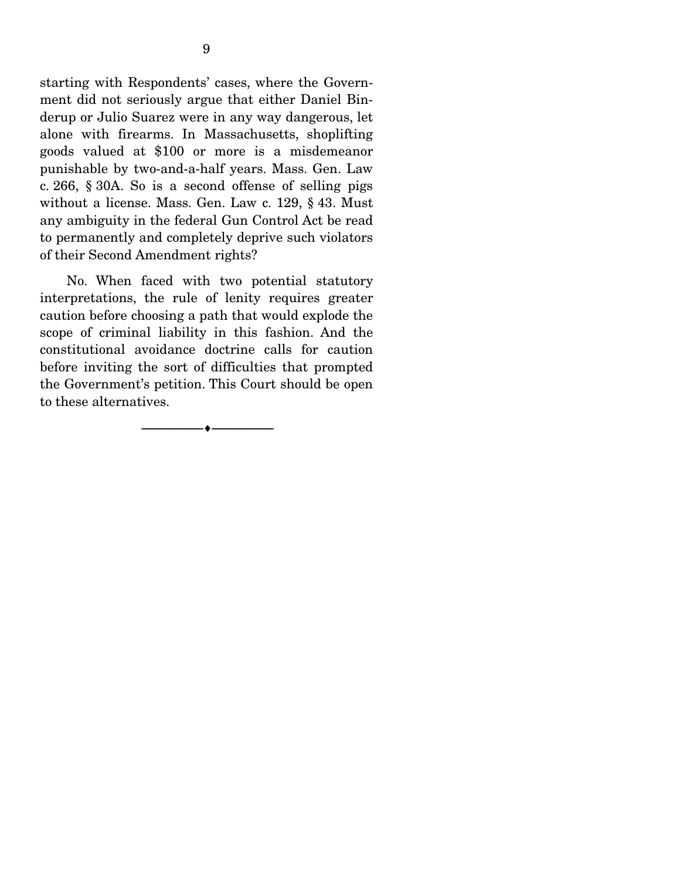starting with Respondents' cases, where the Government did not seriously argue that either Daniel Binderup or Julio Suarez were in any way dangerous, let alone with firearms. In Massachusetts, shoplifting goods valued at \$100 or more is a misdemeanor punishable by two-and-a-half years. Mass. Gen. Law c. 266, § 30A. So is a second offense of selling pigs without a license. Mass. Gen. Law c. 129, § 43. Must any ambiguity in the federal Gun Control Act be read to permanently and completely deprive such violators of their Second Amendment rights?

 No. When faced with two potential statutory interpretations, the rule of lenity requires greater caution before choosing a path that would explode the scope of criminal liability in this fashion. And the constitutional avoidance doctrine calls for caution before inviting the sort of difficulties that prompted the Government's petition. This Court should be open to these alternatives.

--------------------------------- i ---------------------------------